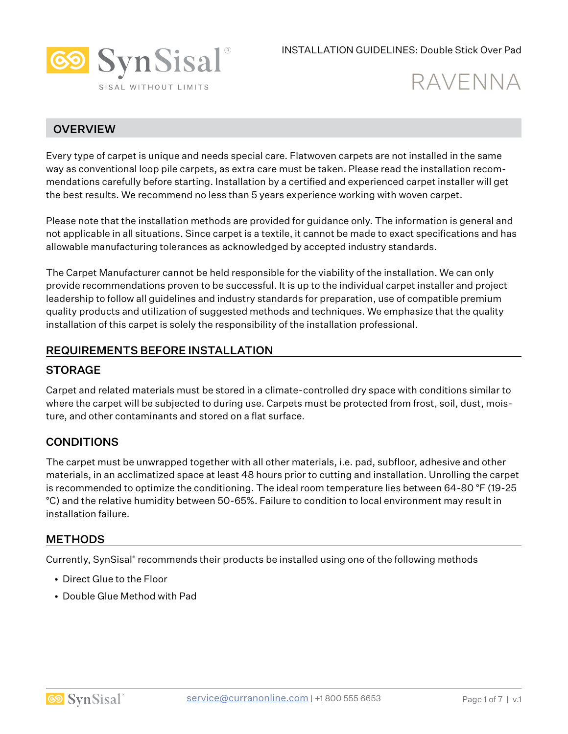

# RAVENNA

# **OVERVIEW**

Every type of carpet is unique and needs special care. Flatwoven carpets are not installed in the same way as conventional loop pile carpets, as extra care must be taken. Please read the installation recommendations carefully before starting. Installation by a certified and experienced carpet installer will get the best results. We recommend no less than 5 years experience working with woven carpet.

Please note that the installation methods are provided for guidance only. The information is general and not applicable in all situations. Since carpet is a textile, it cannot be made to exact specifications and has allowable manufacturing tolerances as acknowledged by accepted industry standards.

The Carpet Manufacturer cannot be held responsible for the viability of the installation. We can only provide recommendations proven to be successful. It is up to the individual carpet installer and project leadership to follow all guidelines and industry standards for preparation, use of compatible premium quality products and utilization of suggested methods and techniques. We emphasize that the quality installation of this carpet is solely the responsibility of the installation professional.

## REQUIREMENTS BEFORE INSTALLATION

### **STORAGE**

Carpet and related materials must be stored in a climate-controlled dry space with conditions similar to where the carpet will be subjected to during use. Carpets must be protected from frost, soil, dust, moisture, and other contaminants and stored on a flat surface.

## **CONDITIONS**

The carpet must be unwrapped together with all other materials, i.e. pad, subfloor, adhesive and other materials, in an acclimatized space at least 48 hours prior to cutting and installation. Unrolling the carpet is recommended to optimize the conditioning. The ideal room temperature lies between 64-80 °F (19-25 °C) and the relative humidity between 50-65%. Failure to condition to local environment may result in installation failure.

#### **METHODS**

Currently, SynSisal® recommends their products be installed using one of the following methods

- Direct Glue to the Floor
- Double Glue Method with Pad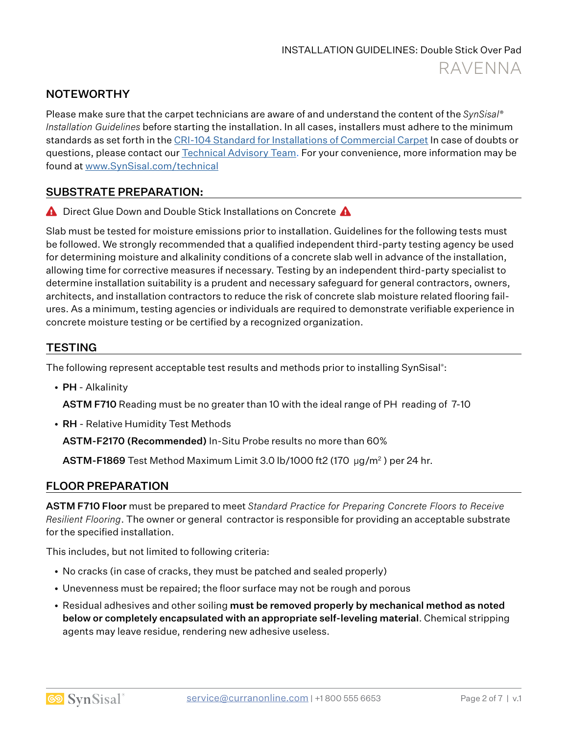# **NOTEWORTHY**

Please make sure that the carpet technicians are aware of and understand the content of the *SynSisal® Installation Guidelines* before starting the installation. In all cases, installers must adhere to the minimum standards as set forth in the CRI-104 Standard for Installations of Commercial Carpet In case of doubts or questions, please contact our **Technical Advisory Team.** For your convenience, more information may be found at www.SynSisal.com/technical

## SUBSTRATE PREPARATION:

**A** Direct Glue Down and Double Stick Installations on Concrete **A** 

Slab must be tested for moisture emissions prior to installation. Guidelines for the following tests must be followed. We strongly recommended that a qualified independent third-party testing agency be used for determining moisture and alkalinity conditions of a concrete slab well in advance of the installation, allowing time for corrective measures if necessary. Testing by an independent third-party specialist to determine installation suitability is a prudent and necessary safeguard for general contractors, owners, architects, and installation contractors to reduce the risk of concrete slab moisture related flooring failures. As a minimum, testing agencies or individuals are required to demonstrate verifiable experience in concrete moisture testing or be certified by a recognized organization.

## **TESTING**

The following represent acceptable test results and methods prior to installing SynSisal® :

• PH - Alkalinity

ASTM F710 Reading must be no greater than 10 with the ideal range of PH reading of 7-10

• RH - Relative Humidity Test Methods

ASTM-F2170 (Recommended) In-Situ Probe results no more than 60%

ASTM-F1869 Test Method Maximum Limit 3.0 lb/1000 ft2 (170 µg/m2 ) per 24 hr.

#### FLOOR PREPARATION

ASTM F710 Floor must be prepared to meet *Standard Practice for Preparing Concrete Floors to Receive Resilient Flooring*. The owner or general contractor is responsible for providing an acceptable substrate for the specified installation.

This includes, but not limited to following criteria:

- No cracks (in case of cracks, they must be patched and sealed properly)
- Unevenness must be repaired; the floor surface may not be rough and porous
- Residual adhesives and other soiling must be removed properly by mechanical method as noted below or completely encapsulated with an appropriate self-leveling material. Chemical stripping agents may leave residue, rendering new adhesive useless.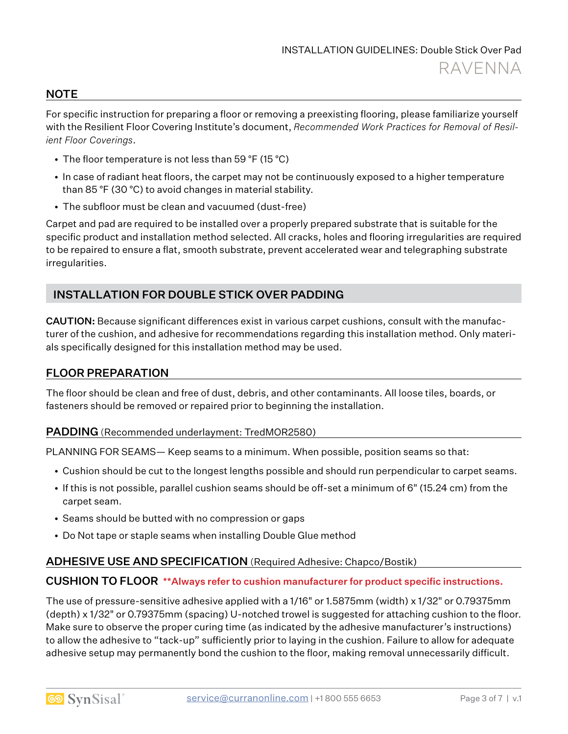#### **NOTE**

For specific instruction for preparing a floor or removing a preexisting flooring, please familiarize yourself with the Resilient Floor Covering Institute's document, *Recommended Work Practices for Removal of Resilient Floor Coverings*.

- The floor temperature is not less than 59 °F (15 °C)
- In case of radiant heat floors, the carpet may not be continuously exposed to a higher temperature than 85 °F (30 °C) to avoid changes in material stability.
- The subfloor must be clean and vacuumed (dust-free)

Carpet and pad are required to be installed over a properly prepared substrate that is suitable for the specific product and installation method selected. All cracks, holes and flooring irregularities are required to be repaired to ensure a flat, smooth substrate, prevent accelerated wear and telegraphing substrate irregularities.

## INSTALLATION FOR DOUBLE STICK OVER PADDING

CAUTION: Because significant differences exist in various carpet cushions, consult with the manufacturer of the cushion, and adhesive for recommendations regarding this installation method. Only materials specifically designed for this installation method may be used.

#### FLOOR PREPARATION

The floor should be clean and free of dust, debris, and other contaminants. All loose tiles, boards, or fasteners should be removed or repaired prior to beginning the installation.

#### PADDING (Recommended underlayment: TredMOR2580)

PLANNING FOR SEAMS— Keep seams to a minimum. When possible, position seams so that:

- Cushion should be cut to the longest lengths possible and should run perpendicular to carpet seams.
- If this is not possible, parallel cushion seams should be off-set a minimum of 6" (15.24 cm) from the carpet seam.
- Seams should be butted with no compression or gaps
- Do Not tape or staple seams when installing Double Glue method

#### ADHESIVE USE AND SPECIFICATION (Required Adhesive: Chapco/Bostik)

#### CUSHION TO FLOOR \*\*Always refer to cushion manufacturer for product specific instructions.

The use of pressure-sensitive adhesive applied with a 1/16" or 1.5875mm (width) x 1/32" or 0.79375mm (depth) x 1/32" or 0.79375mm (spacing) U-notched trowel is suggested for attaching cushion to the floor. Make sure to observe the proper curing time (as indicated by the adhesive manufacturer's instructions) to allow the adhesive to "tack-up" sufficiently prior to laying in the cushion. Failure to allow for adequate adhesive setup may permanently bond the cushion to the floor, making removal unnecessarily difficult.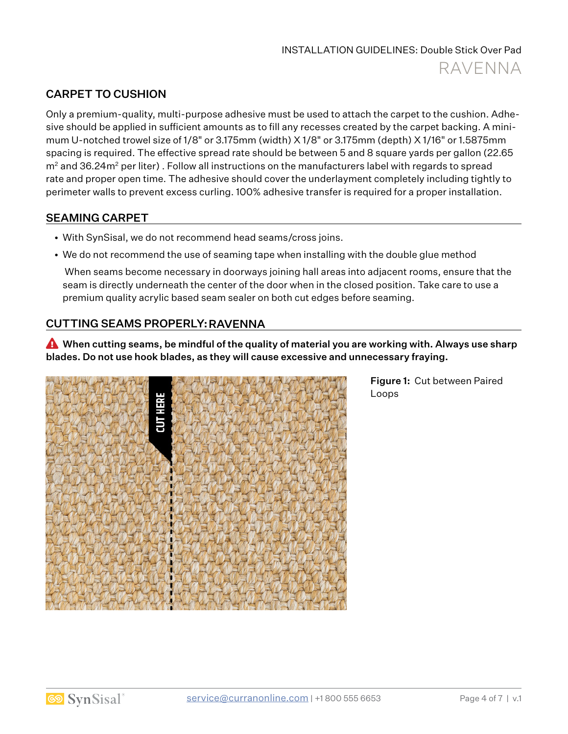# CARPET TO CUSHION

Only a premium-quality, multi-purpose adhesive must be used to attach the carpet to the cushion. Adhesive should be applied in sufficient amounts as to fill any recesses created by the carpet backing. A minimum U-notched trowel size of 1/8" or 3.175mm (width) X 1/8" or 3.175mm (depth) X 1/16" or 1.5875mm spacing is required. The effective spread rate should be between 5 and 8 square yards per gallon (22.65  $m<sup>2</sup>$  and 36.24 $m<sup>2</sup>$  per liter). Follow all instructions on the manufacturers label with regards to spread rate and proper open time. The adhesive should cover the underlayment completely including tightly to perimeter walls to prevent excess curling. 100% adhesive transfer is required for a proper installation.

## SEAMING CARPET

- With SynSisal, we do not recommend head seams/cross joins.
- We do not recommend the use of seaming tape when installing with the double glue method

 When seams become necessary in doorways joining hall areas into adjacent rooms, ensure that the seam is directly underneath the center of the door when in the closed position. Take care to use a premium quality acrylic based seam sealer on both cut edges before seaming.

# CUTTING SEAMS PROPERLY: RAVENNA

� When cutting seams, be mindful of the quality of material you are working with. Always use sharp blades. Do not use hook blades, as they will cause excessive and unnecessary fraying.



Figure 1: Cut between Paired Loops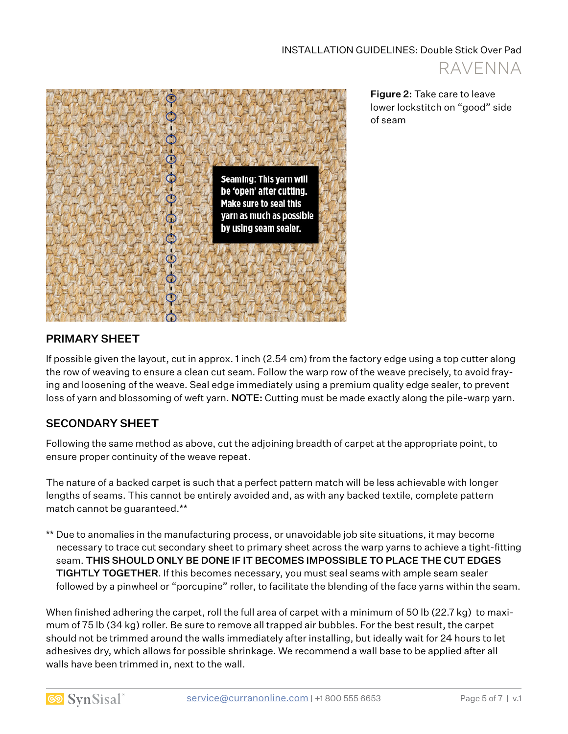



Figure 2: Take care to leave lower lockstitch on "good" side of seam

# PRIMARY SHEET

If possible given the layout, cut in approx. 1 inch (2.54 cm) from the factory edge using a top cutter along the row of weaving to ensure a clean cut seam. Follow the warp row of the weave precisely, to avoid fraying and loosening of the weave. Seal edge immediately using a premium quality edge sealer, to prevent loss of yarn and blossoming of weft yarn. NOTE: Cutting must be made exactly along the pile-warp yarn.

## SECONDARY SHEET

Following the same method as above, cut the adjoining breadth of carpet at the appropriate point, to ensure proper continuity of the weave repeat.

The nature of a backed carpet is such that a perfect pattern match will be less achievable with longer lengths of seams. This cannot be entirely avoided and, as with any backed textile, complete pattern match cannot be guaranteed.\*\*

\*\* Due to anomalies in the manufacturing process, or unavoidable job site situations, it may become necessary to trace cut secondary sheet to primary sheet across the warp yarns to achieve a tight-fitting seam. THIS SHOULD ONLY BE DONE IF IT BECOMES IMPOSSIBLE TO PLACE THE CUT EDGES TIGHTLY TOGETHER. If this becomes necessary, you must seal seams with ample seam sealer followed by a pinwheel or "porcupine" roller, to facilitate the blending of the face yarns within the seam.

When finished adhering the carpet, roll the full area of carpet with a minimum of 50 lb (22.7 kg) to maximum of 75 lb (34 kg) roller. Be sure to remove all trapped air bubbles. For the best result, the carpet should not be trimmed around the walls immediately after installing, but ideally wait for 24 hours to let adhesives dry, which allows for possible shrinkage. We recommend a wall base to be applied after all walls have been trimmed in, next to the wall.

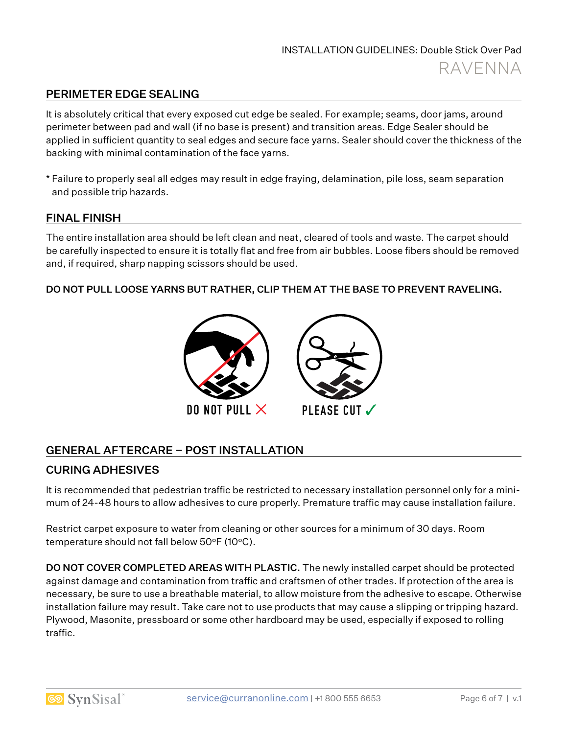# PERIMETER EDGE SEALING

It is absolutely critical that every exposed cut edge be sealed. For example; seams, door jams, around perimeter between pad and wall (if no base is present) and transition areas. Edge Sealer should be applied in sufficient quantity to seal edges and secure face yarns. Sealer should cover the thickness of the backing with minimal contamination of the face yarns.

\* Failure to properly seal all edges may result in edge fraying, delamination, pile loss, seam separation and possible trip hazards.

#### FINAL FINISH

The entire installation area should be left clean and neat, cleared of tools and waste. The carpet should be carefully inspected to ensure it is totally flat and free from air bubbles. Loose fibers should be removed and, if required, sharp napping scissors should be used.

#### DO NOT PULL LOOSE YARNS BUT RATHER, CLIP THEM AT THE BASE TO PREVENT RAVELING.



# GENERAL AFTERCARE – POST INSTALLATION

#### CURING ADHESIVES

It is recommended that pedestrian traffic be restricted to necessary installation personnel only for a minimum of 24-48 hours to allow adhesives to cure properly. Premature traffic may cause installation failure.

Restrict carpet exposure to water from cleaning or other sources for a minimum of 30 days. Room temperature should not fall below 50°F (10°C).

**DO NOT COVER COMPLETED AREAS WITH PLASTIC.** The newly installed carpet should be protected against damage and contamination from traffic and craftsmen of other trades. If protection of the area is necessary, be sure to use a breathable material, to allow moisture from the adhesive to escape. Otherwise installation failure may result. Take care not to use products that may cause a slipping or tripping hazard. Plywood, Masonite, pressboard or some other hardboard may be used, especially if exposed to rolling traffic.